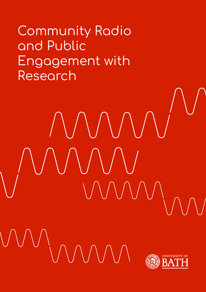Community Radio and Public Engagement with Research

MMM



WUWN G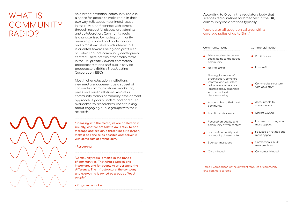[According to Ofcom,](https://www.ofcom.org.uk/manage-your-licence/radio-broadcast-licensing/community-radio) the regulatory body that licences radio stations for broadcast in the UK, community radio stations typically:

#### Community F

- Mission-di social gai community
- $\bullet$  Not-for-pr
	- No singula organisati informal a led, where 'profession with centra decisionm
- Accountal communit
- Local/ me
- Focused o communit
- Focused o community
- Sponsor m
- $\bullet$  Civic-minded

#### "covers a small geographical area with a coverage radius of up to 5km."

Table 1. Comparison of the different features of community and commercial radio

 $\overline{\phantom{1}}$  2

As a broad definition, community radio is a space for people to make radio in their own way, talk about meaningful issues in their lives, and connect with others through respectful discussion, listening and collaboration. Community radio is characterised by having community ownership, control and participation and almost exclusively volunteer-run. It is oriented towards being non profit with activities that are community development centred. There are two other radio forms in the UK: privately owned commercial broadcast stations and public service broadcasters (British Broadcasting Corporation (BBC)).

Most higher education institutions view media engagement as a subset of corporate communications, marketing, press and public relations. As a result, community radio's community development approach is poorly understood and often overlooked by researchers when thinking about engaging public groups with their research.

**"Speaking with the media, we are briefed on it. Usually, what we are told to do is stick to one message and explain it three times. No jargon, make it as concise as possible and deliver it with some sort of enthusiasm."**

**- Researcher**

# WHAT IS COMMUNITY RADIO?

**"Community radio is media in the hands of communities. That what's special and important, and for people to understand the difference. The infrastructure, the company and everything is owned by groups of local people."**

**- Programme maker**

| Radio                                                                                                | <b>Commercial Radio</b>                 |
|------------------------------------------------------------------------------------------------------|-----------------------------------------|
| riven to deliver<br>ns to the target<br>:У                                                           | <b>Profit Driven</b>                    |
| ofit <sup>-</sup>                                                                                    | $\blacktriangleright$ For-profit        |
| ar model of<br>ion. Some are<br>and volunteer<br>as others are<br>nally'organised<br>alised<br>aking | Commercial structure<br>with paid staff |
| ble to their host<br>:y                                                                              | Accountable to<br>shareholders          |
| mber-owned·                                                                                          | Market Owned                            |
| on quality and<br>y driven content                                                                   | Focused on ratings and<br>mass appeal   |
| on quality and<br>y driven content                                                                   | Focused on ratings and<br>mass appeal   |
| nessages                                                                                             | Commericals 15-20<br>mins per hour      |
| har                                                                                                  | • Consumer Minded                       |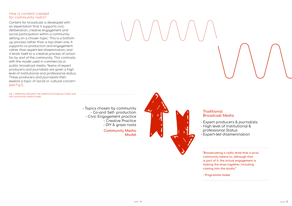4 5



Fig. 1. Difference between the traditional broadcast media and the community media model

Content for broadcast is developed with an expectation that it supports civic deliberation, creative engagement and social participation within a community setting on a chosen topic. This is a bottomup process rather than a top-down one. It supports co-production and engagement rather than expert-led dissemination, and it lends itself to a creative process of action for, by and of the community. This contrasts with the model used in commercial or public broadcast media. Teams of expert producers and journalists are given a high level of institutional and professional status. These producers and journalists then explore a topic of social or cultural concern (see Fig.1).

> **Community Media Model**

### **Traditional Broadcast Media**

- 
- 
- 

- Topics chosen by community - Co-and Self- production - Civic Engagement practice - Creative Practice



- High level of institutional & professional Status - Expert-led dissmenination

**"Broadcasting a radio show that a local community listens to, although that is part of it, the actual engagement is making the show together, including coming into the studio."**

**- Programme maker**

## How is content created for community radio?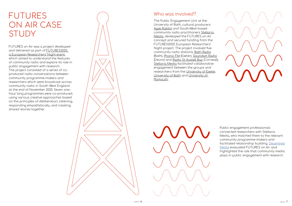



# FUTURES and the set of the who was involved? ON AIR CASE **STUDY**

FUTURES on Air was a project developed and delivered as part of [FUTURES2020,](https://www.bath.ac.uk/projects/futures-european-researchers-night/)  [a European Researchers' Night event](https://www.bath.ac.uk/projects/futures-european-researchers-night/), which aimed to understand the features of community radio and explore its role in public engagement with research. The project consisted of a series of coproduced radio conversations between community programme-makers and researchers which were broadcast across community radio in South West England at the end of November 2020. Seven onehour long programmes were co-produced, using various creative approaches based on the principles of deliberation, listening, responding empathetically, and creating shared stories together.

The Public Engagement Unit at the University of Bath, cultural producers [Agile Rabbit](https://www.agile-rabbit.com/) and South-West-based community radio practitioners [Stellaria](https://www.facebook.com/Patches.of.land/)  [Media](https://www.facebook.com/Patches.of.land/), developed the FUTURES on Air concept and secured funding from the FUTURES2020: European Researchers' Night project. The project involved five community radio stations; [Bath Radio](https://www.bathradio.org.uk/) (Bath), [Phonic FM](https://phonic.fm/) (Exeter), [Soundart Radio](https://soundartradio.org.uk/) (Devon) and [Radio St Austell Bay](https://www.rsab.org/) (Cornwall). [Stellaria Media](https://www.facebook.com/Patches.of.land/) facilitated collaborative engagement between the groups and researchers from the [University of Exeter,](https://www.exeter.ac.uk/) [University of Bath](https://www.bath.ac.uk/) and [University of](https://www.plymouth.ac.uk/)  [Plymouth](https://www.plymouth.ac.uk/).

> Public engagement professionals connected researchers with Stellaria Media, who matched them to the relevant community programme-makers and facilitated relationship building. [Decentred](https://decentered.co.uk/)  [Media](https://decentered.co.uk/) evaluated FUTURES on Air and highlighted the role that community media plays in public engagement with research.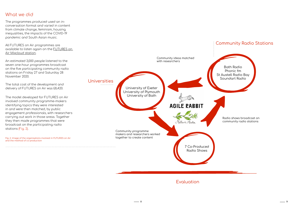8 9

## What we did

The programmes produced used an inconversation format and varied in content from climate change, feminism, housing inequalities, the impacts of the COVID-19 pandemic and South Asian music.

All FUTURES on Air programmes are available to listen again on the [FUTURES on](https://www.mixcloud.com/Futures_on_Air/)  [Air Mixcloud station](https://www.mixcloud.com/Futures_on_Air/).

An estimated 3,000 people listened to the seven one-hour programmes broadcast on the five participating community radio stations on Friday 27 and Saturday 28 November 2020.

The total cost of the development and delivery of FUTURES on Air was £8,420.

The model developed for FUTURES on Air involved community programme-makers identifying topics they were interested in and were then matched, by public engagement professionals, with researchers carrying out work in those areas. Together they then made programmes that were broadcast on the participating radio stations (Fig. 2).

and the method of co-production

Bath Radio Phonic fm St Austell Radio Bay Soundart Radio

## Community Radio Stations

Radio shows broadcast on community radio stations



## Evaluation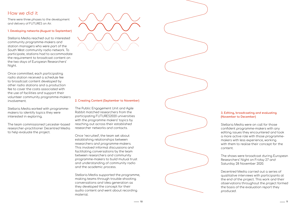# How we did it

There were three phases to the development and delivery of FUTURES on Air.

#### **1. Developing networks (August to September)**

Stellaria Media reached out to interested community programme-makers and station managers who were part of the South West community radio network. To participate, stations had to accommodate the requirement to broadcast content on the two days of European Researchers' Night.

Once committed, each participating radio station received a schedule fee to broadcast content developed by other radio stations and a production fee to cover the costs associated with the use of facilities and support their volunteer community programme-makers involvement.

Stellaria Media worked with programmemakers to identify topics they were interested in exploring.

The team commissioned Leicester-based researcher-practitioner Decentred Media to help evaluate the project.



#### **3. Editing, broadcasting and evaluating (November to December)**

Stellaria Media were on call for those confident programme-makers with any editing issues they encountered and took a more active role with those programmemakers with less experience, working with them to realise their concept for the content.

The shows were broadcast during European Researchers' Night on Friday 27 and Saturday 28 November 2020.

Decentred Media carried out a series of qualitative interviews with participants at the end of the project. This work and their observations throughout the project formed the basis of the evaluation report they produced.

#### **2. Creating Content (September to November)**

The Public Engagement Unit and Agile Rabbit matched researchers from the participating FUTURES2020 universities with the programme makers' topics by reaching out across their established researcher networks and contacts.

Once 'recruited', the team set about establishing relationships between researchers and programme-makers. This involved informal discussions and facilitating conversations by the team between researchers and community programme-makers to build mutual trust and understanding of community radio and the academic process.

Stellaria Media supported the programme, making teams through trouble-shooting conversations and idea generation as they developed the concept for their audio content and went about recording material.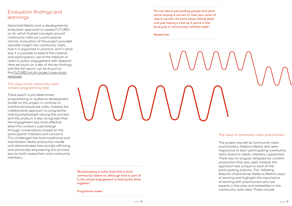

# Evaluation findings and learnings

Decentred Media took a developmental evaluation approach to assess FUTURES on Air which framed concepts around community radio as a participative activity. Evaluation of the project provided valuable insight into community radio, how it is organised in practice, and in what way it is possible to extend the creative and participatory use of the medium of radio to public engagement with research. Here we touch on a few of the key findings, and the full report can be found on the [FUTURES on Air project case study](https://www.bath.ac.uk/case-studies/futures-on-air/)  [webpage](https://www.bath.ac.uk/case-studies/futures-on-air/).

#### The value of community radio practitioners

The project was led by community radio practitioners, Stellaria Media, who were responsive to each participating community radio station's needs, interests, capabilities. There was no singular template for content production that was used. Instead, the approach was unique to each of the participating stations. The following features characterise Stellaria Media's ways of working and highlight the importance of working with practitioners who are experts in the area and embedded in the community radio field. These include:

**"Broadcasting a radio show that a local community listens to, although that is part of it, the actual engagement is making the show together."**

**Programme maker**

**"It's not about persuading people that what you're saying is correct or that your point of view is correct. It's more about sitting down and just having a chat as if you're in the local pub or around your kitchen table."**

#### **Researcher**

## The value of the community radio content programming style

There wasn't a pre-determined programming or audience development model on the project in contrast to traditional broadcast radio. Instead, the collaborative approach to programme making emphasised valuing the process and the product. It was recognised that the engagement was most effective when the content could emerge through conversations based on the participants' interests and concerns. This challenged the more traditional and mainstream media production model and demonstrated how socially affirming and personally empowering this process was for both researchers and community members.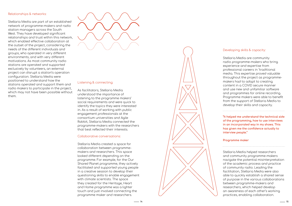14 15

## Developing skills & capacity:

Stellaria Media are community radio programme-makers who bring experience and expertise from professional careers in 'traditional media. This expertise proved valuable throughout the project as programmemakers had to adapt to creating content in a COVID secure manner and use new and unfamiliar software and programmes for online recording. Programme makers were able to benefit from the support of Stellaria Media to develop their skills and capacity.

**"It helped me understand the technical side of the programming, how to use interviews in an incorporated way in my shows. This has given me the confidence actually to interview people."**

#### **Programme maker**

Stellaria Media helped researchers and community programme-makers navigate the potential misinterpretation of the academic process and practice of community radio. Leading the facilitation, Stellaria Media were also able to quickly establish a shared sense of purpose in the various collaborations between programme-makers and researchers, which helped develop an awareness of each other's working practices, enabling collaboration.

#### Relationships & networks:

Stellaria Media are part of an established network of programme-makers and radio station managers across the South West. They have developed significant relationships and trust within this network, which enabled effective collaboration at the outset of the project, considering the needs of the different individuals and groups, who operated in very different environments, and with very different motivations. As most community radio stations are operated and supported exclusively by volunteers, an external project can disrupt a station's operation configuration. Stellaria Media were positioned to understand how the stations operated and support them and radio makers to participate in the project, which may not have been possible without them.



#### Listening & connecting:

As facilitators, Stellaria Media understood the importance of listening to the programme makers' social requirements and were quick to identify the topics they were interested in. As a result of working with public engagement professionals at the consortium universities and Agile Rabbit, Stellaria Media connected the programme-makers with the researchers that best reflected their interests.

#### Collaborative conversations:

Stellaria Media created a space for collaboration between programmemakers and researchers. This space looked different depending on the programme. For example, for the Our Shared Planet programme, they actively facilitated and supported young people in a creative session to develop their questioning skills to enable engagement with climate scientists. The space they created for the Heritage, Heart and Home programme was a lighter touch and just involved connecting the programme maker and researchers.

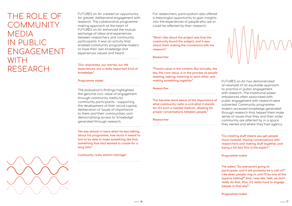FUTURES on Air created an opportunity for greater deliberative engagement with research. The collaborative programme making approach at the heart of FUTURES on Air enhanced the mutual exchange of ideas and experiences between researchers and community participants. It was an activity that enabled community programme-makers to have their own knowledge and experiences valued and heard.

**"Our anecdotes, our stories, our life experiences, are a really important kind of knowledge."** 

#### **Programme maker**

# THE ROLE OF **COMMUNITY** MEDIA IN PUBLIC ENGAGEMENT WITH RESEARCH



The evaluation's findings highlighted the genuine civic value of engagement through community media for community participants - supporting the development of their social capital, deliberation of issues of importance to them and their communities, and democratising access to 'knowledge' generated through research.

**"He was almost in tears when he was talking about his programme, how much it meant to him to be able to make something like that, something that he'd wanted to create for a long time."**

**Community radio station manager**

For researchers, participation also offered a meaningful opportunity to gain insights into the experiences of people who are or could be affected by their research.

**"What I like about the project was that the community found the subject, and it was about them making the connexions with my research."**

#### **Researcher**

**"There's value in the content. But actually, the key, the core value, is in the process of people meeting, talking, listening to each other and making something together."**

#### **Researcher**

**"I've become more aware of the importance of what community radio is and what it stands for. It's such a needed medium, allowing for proper conversations between people."**

**Researcher**

FUTURES on Air has demonstrated an example of an equitable approach to practice in public engagement with research. The traditional power imbalances often associated with public engagement with research were subverted. Community programmemakers accessed knowledge generated through research that helped them make sense of issues that they and their wider community are affected by in a space they owned and where they had agency.

#### **"Co-creating stuff means you get people more involved. Having conversations with researchers and making stuff together, and being a bit less 'this is the expert'."**

#### **Programme maker**

**"He asked. "So everyone's going to participate, and it will probably be a call-in?" Like when people ring in, and I'll be one of the experts talking?" And, I was like, "well, we don't really do that. Plus, it's really hard to engage people in that way"."**

**Programme maker**